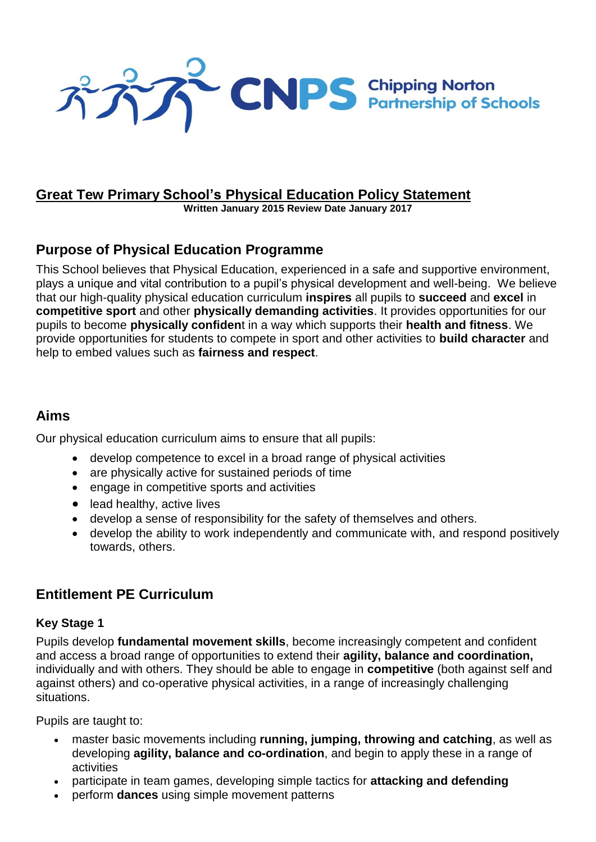

## **Great Tew Primary School's Physical Education Policy Statement**

**Written January 2015 Review Date January 2017**

## **Purpose of Physical Education Programme**

This School believes that Physical Education, experienced in a safe and supportive environment, plays a unique and vital contribution to a pupil's physical development and well-being. We believe that our high-quality physical education curriculum **inspires** all pupils to **succeed** and **excel** in **competitive sport** and other **physically demanding activities**. It provides opportunities for our pupils to become **physically confiden**t in a way which supports their **health and fitness**. We provide opportunities for students to compete in sport and other activities to **build character** and help to embed values such as **fairness and respect**.

## **Aims**

Our physical education curriculum aims to ensure that all pupils:

- develop competence to excel in a broad range of physical activities
- are physically active for sustained periods of time
- engage in competitive sports and activities
- lead healthy, active lives
- develop a sense of responsibility for the safety of themselves and others.
- develop the ability to work independently and communicate with, and respond positively towards, others.

## **Entitlement PE Curriculum**

### **Key Stage 1**

Pupils develop **fundamental movement skills**, become increasingly competent and confident and access a broad range of opportunities to extend their **agility, balance and coordination,** individually and with others. They should be able to engage in **competitive** (both against self and against others) and co-operative physical activities, in a range of increasingly challenging situations.

Pupils are taught to:

- master basic movements including **running, jumping, throwing and catching**, as well as developing **agility, balance and co-ordination**, and begin to apply these in a range of activities
- participate in team games, developing simple tactics for **attacking and defending**
- perform **dances** using simple movement patterns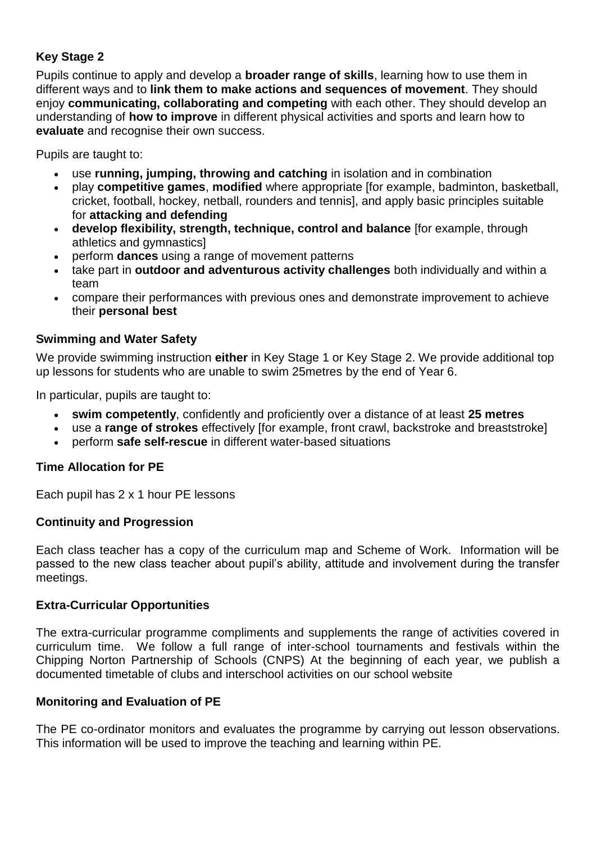### **Key Stage 2**

Pupils continue to apply and develop a **broader range of skills**, learning how to use them in different ways and to **link them to make actions and sequences of movement**. They should enjoy **communicating, collaborating and competing** with each other. They should develop an understanding of **how to improve** in different physical activities and sports and learn how to **evaluate** and recognise their own success.

Pupils are taught to:

- use **running, jumping, throwing and catching** in isolation and in combination
- play **competitive games**, **modified** where appropriate [for example, badminton, basketball, cricket, football, hockey, netball, rounders and tennis], and apply basic principles suitable for **attacking and defending**
- **develop flexibility, strength, technique, control and balance** [for example, through athletics and gymnastics]
- perform **dances** using a range of movement patterns
- take part in **outdoor and adventurous activity challenges** both individually and within a team
- compare their performances with previous ones and demonstrate improvement to achieve their **personal best**

### **Swimming and Water Safety**

We provide swimming instruction **either** in Key Stage 1 or Key Stage 2. We provide additional top up lessons for students who are unable to swim 25metres by the end of Year 6.

In particular, pupils are taught to:

- **swim competently**, confidently and proficiently over a distance of at least **25 metres**
- use a **range of strokes** effectively [for example, front crawl, backstroke and breaststroke]
- perform **safe self-rescue** in different water-based situations

#### **Time Allocation for PE**

Each pupil has 2 x 1 hour PE lessons

#### **Continuity and Progression**

Each class teacher has a copy of the curriculum map and Scheme of Work. Information will be passed to the new class teacher about pupil's ability, attitude and involvement during the transfer meetings.

#### **Extra-Curricular Opportunities**

The extra-curricular programme compliments and supplements the range of activities covered in curriculum time. We follow a full range of inter-school tournaments and festivals within the Chipping Norton Partnership of Schools (CNPS) At the beginning of each year, we publish a documented timetable of clubs and interschool activities on our school website

#### **Monitoring and Evaluation of PE**

The PE co-ordinator monitors and evaluates the programme by carrying out lesson observations. This information will be used to improve the teaching and learning within PE.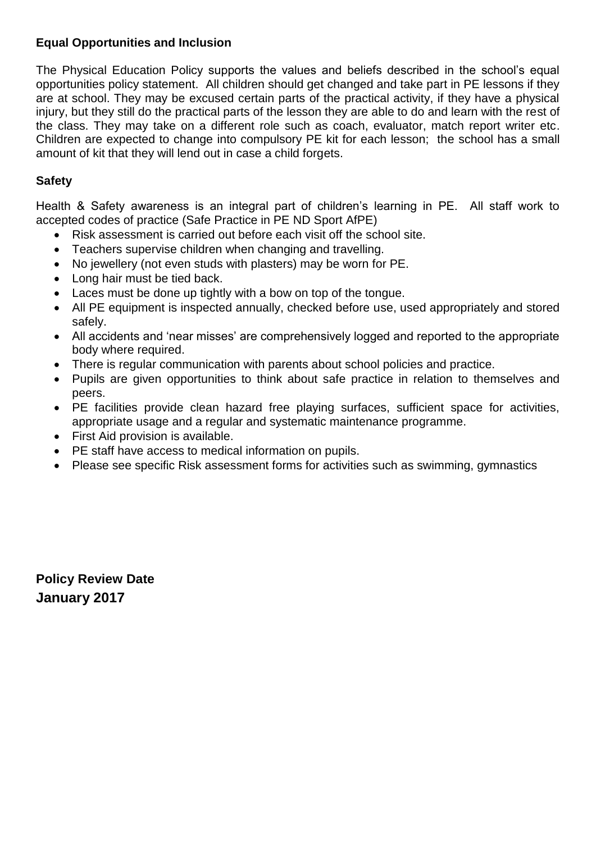### **Equal Opportunities and Inclusion**

The Physical Education Policy supports the values and beliefs described in the school's equal opportunities policy statement. All children should get changed and take part in PE lessons if they are at school. They may be excused certain parts of the practical activity, if they have a physical injury, but they still do the practical parts of the lesson they are able to do and learn with the rest of the class. They may take on a different role such as coach, evaluator, match report writer etc. Children are expected to change into compulsory PE kit for each lesson; the school has a small amount of kit that they will lend out in case a child forgets.

### **Safety**

Health & Safety awareness is an integral part of children's learning in PE. All staff work to accepted codes of practice (Safe Practice in PE ND Sport AfPE)

- Risk assessment is carried out before each visit off the school site.
- Teachers supervise children when changing and travelling.
- No jewellery (not even studs with plasters) may be worn for PE.
- Long hair must be tied back.
- Laces must be done up tightly with a bow on top of the tongue.
- All PE equipment is inspected annually, checked before use, used appropriately and stored safely.
- All accidents and 'near misses' are comprehensively logged and reported to the appropriate body where required.
- There is regular communication with parents about school policies and practice.
- Pupils are given opportunities to think about safe practice in relation to themselves and peers.
- PE facilities provide clean hazard free playing surfaces, sufficient space for activities, appropriate usage and a regular and systematic maintenance programme.
- First Aid provision is available.
- PE staff have access to medical information on pupils.
- Please see specific Risk assessment forms for activities such as swimming, gymnastics

**Policy Review Date January 2017**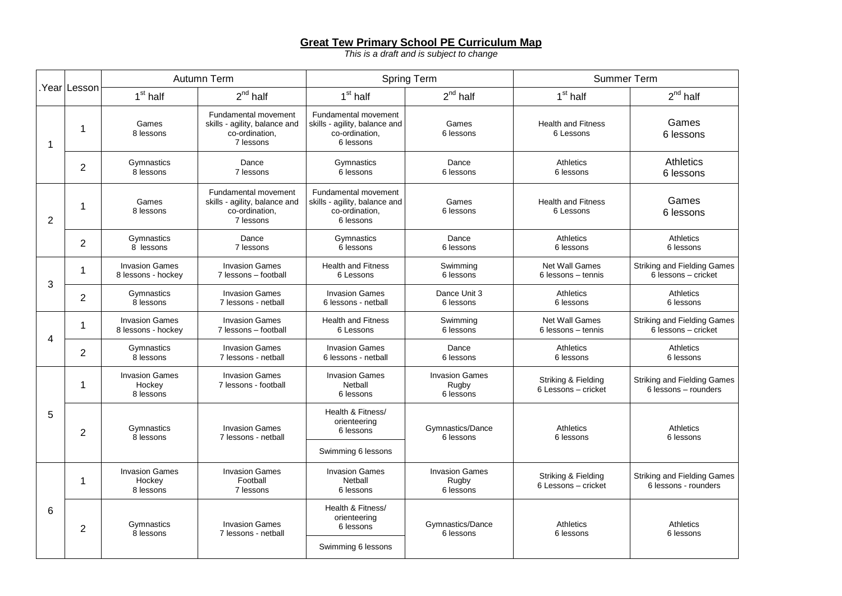#### **Great Tew Primary School PE Curriculum Map**

*This is a draft and is subject to change*

|                |                | Autumn Term                                  |                                                                                      | <b>Spring Term</b>                                                                   |                                             | <b>Summer Term</b>                         |                                                            |
|----------------|----------------|----------------------------------------------|--------------------------------------------------------------------------------------|--------------------------------------------------------------------------------------|---------------------------------------------|--------------------------------------------|------------------------------------------------------------|
|                | Year Lesson    | 1 <sup>st</sup> half                         | $2^{nd}$ half                                                                        | 1 <sup>st</sup> half                                                                 | $2^{nd}$ half                               | 1 <sup>st</sup> half                       | $2^{nd}$ half                                              |
| 1              | 1              | Games<br>8 lessons                           | Fundamental movement<br>skills - agility, balance and<br>co-ordination,<br>7 lessons | Fundamental movement<br>skills - agility, balance and<br>co-ordination.<br>6 lessons | Games<br>6 lessons                          | <b>Health and Fitness</b><br>6 Lessons     | Games<br>6 lessons                                         |
|                | $\overline{2}$ | Gymnastics<br>8 lessons                      | Dance<br>7 lessons                                                                   | Gymnastics<br>6 lessons                                                              | Dance<br>6 lessons                          | Athletics<br>6 lessons                     | Athletics<br>6 lessons                                     |
| $\overline{2}$ | 1              | Games<br>8 lessons                           | Fundamental movement<br>skills - agility, balance and<br>co-ordination,<br>7 lessons | Fundamental movement<br>skills - agility, balance and<br>co-ordination.<br>6 lessons | Games<br>6 lessons                          | <b>Health and Fitness</b><br>6 Lessons     | Games<br>6 lessons                                         |
|                | 2              | Gymnastics<br>8 lessons                      | Dance<br>7 lessons                                                                   | Gymnastics<br>6 lessons                                                              | Dance<br>6 lessons                          | Athletics<br>6 lessons                     | Athletics<br>6 lessons                                     |
| 3              | 1              | <b>Invasion Games</b><br>8 lessons - hockey  | <b>Invasion Games</b><br>7 lessons - football                                        | <b>Health and Fitness</b><br>6 Lessons                                               | Swimming<br>6 lessons                       | Net Wall Games<br>6 lessons - tennis       | <b>Striking and Fielding Games</b><br>6 lessons - cricket  |
|                | $\overline{2}$ | Gymnastics<br>8 lessons                      | <b>Invasion Games</b><br>7 lessons - netball                                         | <b>Invasion Games</b><br>6 lessons - netball                                         | Dance Unit 3<br>6 lessons                   | Athletics<br>6 lessons                     | Athletics<br>6 lessons                                     |
| 4              | 1              | <b>Invasion Games</b><br>8 lessons - hockey  | <b>Invasion Games</b><br>7 lessons - football                                        | <b>Health and Fitness</b><br>6 Lessons                                               | Swimming<br>6 lessons                       | Net Wall Games<br>6 lessons - tennis       | <b>Striking and Fielding Games</b><br>6 lessons - cricket  |
|                | $\overline{2}$ | Gymnastics<br>8 lessons                      | <b>Invasion Games</b><br>7 lessons - netball                                         | <b>Invasion Games</b><br>6 lessons - netball                                         | Dance<br>6 lessons                          | Athletics<br>6 lessons                     | Athletics<br>6 lessons                                     |
| 5              | 1              | <b>Invasion Games</b><br>Hockey<br>8 lessons | <b>Invasion Games</b><br>7 lessons - football                                        | <b>Invasion Games</b><br>Netball<br>6 lessons                                        | <b>Invasion Games</b><br>Rugby<br>6 lessons | Striking & Fielding<br>6 Lessons - cricket | <b>Striking and Fielding Games</b><br>6 lessons - rounders |
|                | $\overline{2}$ | Gymnastics<br>8 lessons                      | <b>Invasion Games</b><br>7 lessons - netball                                         | Health & Fitness/<br>orienteering<br>6 lessons                                       | Gymnastics/Dance<br>6 lessons               | Athletics<br>6 lessons                     | <b>Athletics</b><br>6 lessons                              |
|                |                |                                              |                                                                                      | Swimming 6 lessons                                                                   |                                             |                                            |                                                            |
| 6              | 1              | <b>Invasion Games</b><br>Hockey<br>8 lessons | <b>Invasion Games</b><br>Football<br>7 lessons                                       | <b>Invasion Games</b><br>Netball<br>6 lessons                                        | <b>Invasion Games</b><br>Rugby<br>6 lessons | Striking & Fielding<br>6 Lessons - cricket | <b>Striking and Fielding Games</b><br>6 lessons - rounders |
|                | $\overline{2}$ | Gymnastics<br>8 lessons                      | <b>Invasion Games</b><br>7 lessons - netball                                         | Health & Fitness/<br>orienteering<br>6 lessons                                       | Gymnastics/Dance<br>6 lessons               | Athletics<br>6 lessons                     | Athletics<br>6 lessons                                     |
|                |                |                                              |                                                                                      | Swimming 6 lessons                                                                   |                                             |                                            |                                                            |